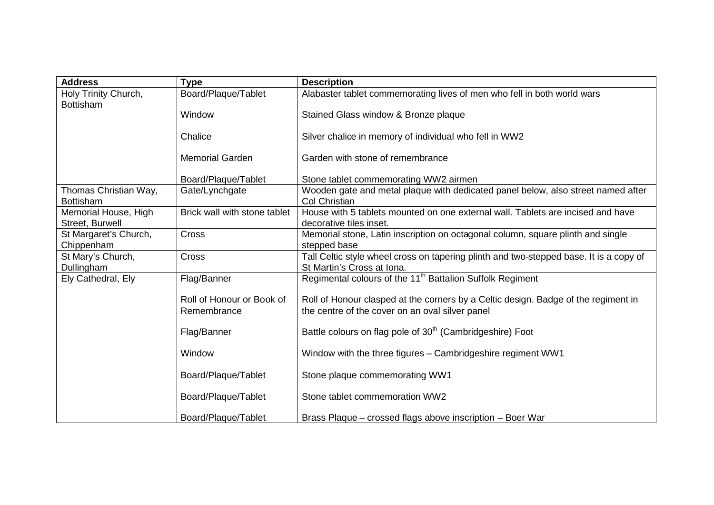| <b>Address</b>                            | <b>Type</b>                  | <b>Description</b>                                                                                                   |
|-------------------------------------------|------------------------------|----------------------------------------------------------------------------------------------------------------------|
| Holy Trinity Church,                      | Board/Plaque/Tablet          | Alabaster tablet commemorating lives of men who fell in both world wars                                              |
| <b>Bottisham</b>                          |                              |                                                                                                                      |
|                                           | Window                       | Stained Glass window & Bronze plaque                                                                                 |
|                                           | Chalice                      | Silver chalice in memory of individual who fell in WW2                                                               |
|                                           | <b>Memorial Garden</b>       | Garden with stone of remembrance                                                                                     |
|                                           | Board/Plaque/Tablet          | Stone tablet commemorating WW2 airmen                                                                                |
| Thomas Christian Way,<br><b>Bottisham</b> | Gate/Lynchgate               | Wooden gate and metal plaque with dedicated panel below, also street named after<br><b>Col Christian</b>             |
| Memorial House, High                      | Brick wall with stone tablet | House with 5 tablets mounted on one external wall. Tablets are incised and have                                      |
| Street, Burwell                           |                              | decorative tiles inset.                                                                                              |
| St Margaret's Church,                     | Cross                        | Memorial stone, Latin inscription on octagonal column, square plinth and single                                      |
| Chippenham                                |                              | stepped base                                                                                                         |
| St Mary's Church,<br>Dullingham           | Cross                        | Tall Celtic style wheel cross on tapering plinth and two-stepped base. It is a copy of<br>St Martin's Cross at Iona. |
| Ely Cathedral, Ely                        | Flag/Banner                  | Regimental colours of the 11 <sup>th</sup> Battalion Suffolk Regiment                                                |
|                                           |                              |                                                                                                                      |
|                                           | Roll of Honour or Book of    | Roll of Honour clasped at the corners by a Celtic design. Badge of the regiment in                                   |
|                                           | Remembrance                  | the centre of the cover on an oval silver panel                                                                      |
|                                           |                              |                                                                                                                      |
|                                           | Flag/Banner                  | Battle colours on flag pole of 30 <sup>th</sup> (Cambridgeshire) Foot                                                |
|                                           | Window                       | Window with the three figures - Cambridgeshire regiment WW1                                                          |
|                                           | Board/Plaque/Tablet          | Stone plaque commemorating WW1                                                                                       |
|                                           | Board/Plaque/Tablet          | Stone tablet commemoration WW2                                                                                       |
|                                           | Board/Plaque/Tablet          | Brass Plaque – crossed flags above inscription – Boer War                                                            |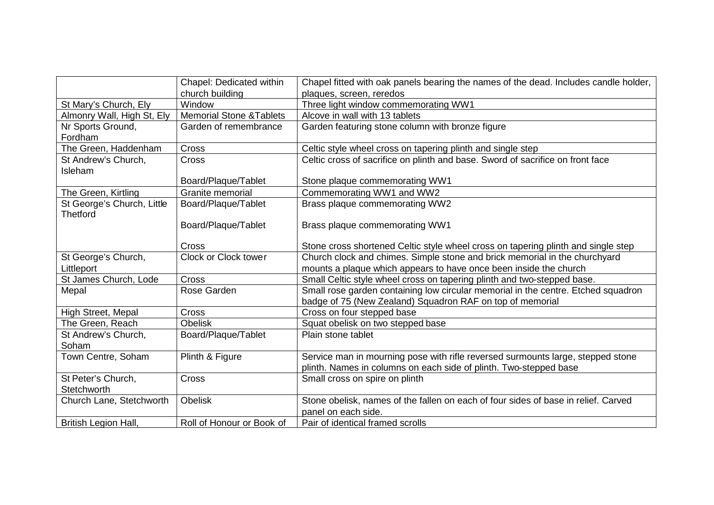|                            | Chapel: Dedicated within            | Chapel fitted with oak panels bearing the names of the dead. Includes candle holder, |
|----------------------------|-------------------------------------|--------------------------------------------------------------------------------------|
|                            | church building                     | plaques, screen, reredos                                                             |
| St Mary's Church, Ely      | Window                              | Three light window commemorating WW1                                                 |
| Almonry Wall, High St, Ely | <b>Memorial Stone &amp; Tablets</b> | Alcove in wall with 13 tablets                                                       |
| Nr Sports Ground,          | Garden of remembrance               | Garden featuring stone column with bronze figure                                     |
| Fordham                    |                                     |                                                                                      |
| The Green, Haddenham       | Cross                               | Celtic style wheel cross on tapering plinth and single step                          |
| St Andrew's Church,        | Cross                               | Celtic cross of sacrifice on plinth and base. Sword of sacrifice on front face       |
| Isleham                    |                                     |                                                                                      |
|                            | Board/Plaque/Tablet                 | Stone plaque commemorating WW1                                                       |
| The Green, Kirtling        | Granite memorial                    | Commemorating WW1 and WW2                                                            |
| St George's Church, Little | Board/Plaque/Tablet                 | Brass plaque commemorating WW2                                                       |
| <b>Thetford</b>            |                                     |                                                                                      |
|                            | Board/Plaque/Tablet                 | Brass plaque commemorating WW1                                                       |
|                            |                                     |                                                                                      |
|                            | Cross                               | Stone cross shortened Celtic style wheel cross on tapering plinth and single step    |
| St George's Church,        | Clock or Clock tower                | Church clock and chimes. Simple stone and brick memorial in the churchyard           |
| Littleport                 |                                     | mounts a plaque which appears to have once been inside the church                    |
| St James Church, Lode      | Cross                               | Small Celtic style wheel cross on tapering plinth and two-stepped base.              |
| Mepal                      | Rose Garden                         | Small rose garden containing low circular memorial in the centre. Etched squadron    |
|                            |                                     | badge of 75 (New Zealand) Squadron RAF on top of memorial                            |
| High Street, Mepal         | Cross                               | Cross on four stepped base                                                           |
| The Green, Reach           | <b>Obelisk</b>                      | Squat obelisk on two stepped base                                                    |
| St Andrew's Church,        | Board/Plaque/Tablet                 | Plain stone tablet                                                                   |
| Soham                      |                                     |                                                                                      |
| Town Centre, Soham         | Plinth & Figure                     | Service man in mourning pose with rifle reversed surmounts large, stepped stone      |
|                            |                                     | plinth. Names in columns on each side of plinth. Two-stepped base                    |
| St Peter's Church,         | Cross                               | Small cross on spire on plinth                                                       |
| Stetchworth                |                                     |                                                                                      |
| Church Lane, Stetchworth   | <b>Obelisk</b>                      | Stone obelisk, names of the fallen on each of four sides of base in relief. Carved   |
|                            |                                     | panel on each side.                                                                  |
| British Legion Hall,       | Roll of Honour or Book of           | Pair of identical framed scrolls                                                     |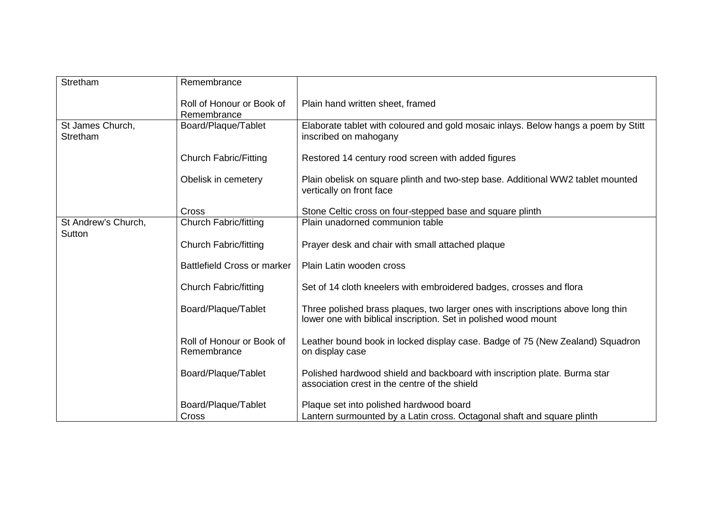| Stretham                            | Remembrance                              |                                                                                                                                                    |
|-------------------------------------|------------------------------------------|----------------------------------------------------------------------------------------------------------------------------------------------------|
|                                     | Roll of Honour or Book of<br>Remembrance | Plain hand written sheet, framed                                                                                                                   |
| St James Church,<br><b>Stretham</b> | Board/Plaque/Tablet                      | Elaborate tablet with coloured and gold mosaic inlays. Below hangs a poem by Stitt<br>inscribed on mahogany                                        |
|                                     | <b>Church Fabric/Fitting</b>             | Restored 14 century rood screen with added figures                                                                                                 |
|                                     | Obelisk in cemetery                      | Plain obelisk on square plinth and two-step base. Additional WW2 tablet mounted<br>vertically on front face                                        |
|                                     | <b>Cross</b>                             | Stone Celtic cross on four-stepped base and square plinth                                                                                          |
| St Andrew's Church,<br>Sutton       | <b>Church Fabric/fitting</b>             | Plain unadorned communion table                                                                                                                    |
|                                     | <b>Church Fabric/fitting</b>             | Prayer desk and chair with small attached plaque                                                                                                   |
|                                     | <b>Battlefield Cross or marker</b>       | Plain Latin wooden cross                                                                                                                           |
|                                     | <b>Church Fabric/fitting</b>             | Set of 14 cloth kneelers with embroidered badges, crosses and flora                                                                                |
|                                     | Board/Plaque/Tablet                      | Three polished brass plaques, two larger ones with inscriptions above long thin<br>lower one with biblical inscription. Set in polished wood mount |
|                                     | Roll of Honour or Book of<br>Remembrance | Leather bound book in locked display case. Badge of 75 (New Zealand) Squadron<br>on display case                                                   |
|                                     | Board/Plaque/Tablet                      | Polished hardwood shield and backboard with inscription plate. Burma star<br>association crest in the centre of the shield                         |
|                                     | Board/Plaque/Tablet                      | Plaque set into polished hardwood board                                                                                                            |
|                                     | Cross                                    | Lantern surmounted by a Latin cross. Octagonal shaft and square plinth                                                                             |